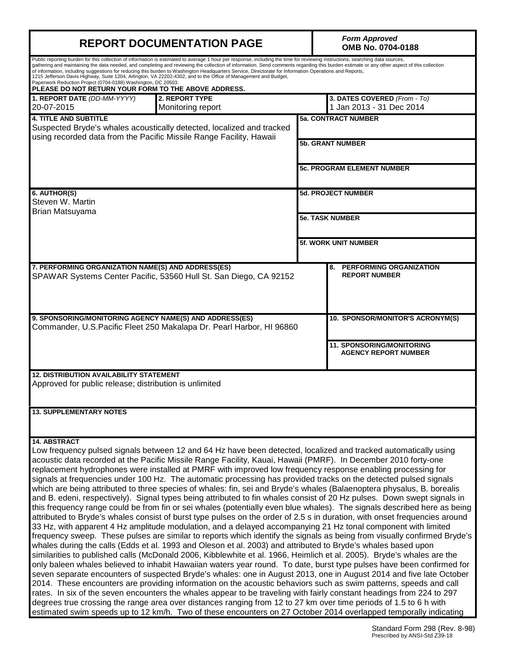| <b>REPORT DOCUMENTATION PAGE</b>                                                                                                                                                                                                                                                                                                                                                                                                                                                                                                                                                                                                                                                                                                                                                                                                                                                                                                                                                                                                                                                                                                                                                                                                                                                                                                                                                                                                                                                                                                                                                                                                                                                                                                                                                                                                                                                                                                                                                                                                                                                                                                                                                                                                          | <b>Form Approved</b><br>OMB No. 0704-0188                |                                                              |  |  |  |
|-------------------------------------------------------------------------------------------------------------------------------------------------------------------------------------------------------------------------------------------------------------------------------------------------------------------------------------------------------------------------------------------------------------------------------------------------------------------------------------------------------------------------------------------------------------------------------------------------------------------------------------------------------------------------------------------------------------------------------------------------------------------------------------------------------------------------------------------------------------------------------------------------------------------------------------------------------------------------------------------------------------------------------------------------------------------------------------------------------------------------------------------------------------------------------------------------------------------------------------------------------------------------------------------------------------------------------------------------------------------------------------------------------------------------------------------------------------------------------------------------------------------------------------------------------------------------------------------------------------------------------------------------------------------------------------------------------------------------------------------------------------------------------------------------------------------------------------------------------------------------------------------------------------------------------------------------------------------------------------------------------------------------------------------------------------------------------------------------------------------------------------------------------------------------------------------------------------------------------------------|----------------------------------------------------------|--------------------------------------------------------------|--|--|--|
| Public reporting burden for this collection of information is estimated to average 1 hour per response, including the time for reviewing instructions, searching data sources,<br>gathering and maintaining the data needed, and completing and reviewing the collection of information. Send comments regarding this burden estimate or any other aspect of this collection<br>of information, including suggestions for reducing this burden to Washington Headquarters Service, Directorate for Information Operations and Reports,<br>1215 Jefferson Davis Highway, Suite 1204, Arlington, VA 22202-4302, and to the Office of Management and Budget,<br>Paperwork Reduction Project (0704-0188) Washington, DC 20503.<br>PLEASE DO NOT RETURN YOUR FORM TO THE ABOVE ADDRESS.                                                                                                                                                                                                                                                                                                                                                                                                                                                                                                                                                                                                                                                                                                                                                                                                                                                                                                                                                                                                                                                                                                                                                                                                                                                                                                                                                                                                                                                        |                                                          |                                                              |  |  |  |
| 1. REPORT DATE (DD-MM-YYYY)<br>2. REPORT TYPE<br>20-07-2015<br>Monitoring report                                                                                                                                                                                                                                                                                                                                                                                                                                                                                                                                                                                                                                                                                                                                                                                                                                                                                                                                                                                                                                                                                                                                                                                                                                                                                                                                                                                                                                                                                                                                                                                                                                                                                                                                                                                                                                                                                                                                                                                                                                                                                                                                                          | 3. DATES COVERED (From - To)<br>1 Jan 2013 - 31 Dec 2014 |                                                              |  |  |  |
| <b>4. TITLE AND SUBTITLE</b><br>Suspected Bryde's whales acoustically detected, localized and tracked<br>using recorded data from the Pacific Missile Range Facility, Hawaii                                                                                                                                                                                                                                                                                                                                                                                                                                                                                                                                                                                                                                                                                                                                                                                                                                                                                                                                                                                                                                                                                                                                                                                                                                                                                                                                                                                                                                                                                                                                                                                                                                                                                                                                                                                                                                                                                                                                                                                                                                                              |                                                          | <b>5a. CONTRACT NUMBER</b>                                   |  |  |  |
|                                                                                                                                                                                                                                                                                                                                                                                                                                                                                                                                                                                                                                                                                                                                                                                                                                                                                                                                                                                                                                                                                                                                                                                                                                                                                                                                                                                                                                                                                                                                                                                                                                                                                                                                                                                                                                                                                                                                                                                                                                                                                                                                                                                                                                           |                                                          | <b>5b. GRANT NUMBER</b>                                      |  |  |  |
|                                                                                                                                                                                                                                                                                                                                                                                                                                                                                                                                                                                                                                                                                                                                                                                                                                                                                                                                                                                                                                                                                                                                                                                                                                                                                                                                                                                                                                                                                                                                                                                                                                                                                                                                                                                                                                                                                                                                                                                                                                                                                                                                                                                                                                           |                                                          | <b>5c. PROGRAM ELEMENT NUMBER</b>                            |  |  |  |
| 6. AUTHOR(S)<br>Steven W. Martin<br>Brian Matsuyama                                                                                                                                                                                                                                                                                                                                                                                                                                                                                                                                                                                                                                                                                                                                                                                                                                                                                                                                                                                                                                                                                                                                                                                                                                                                                                                                                                                                                                                                                                                                                                                                                                                                                                                                                                                                                                                                                                                                                                                                                                                                                                                                                                                       |                                                          | <b>5d. PROJECT NUMBER</b>                                    |  |  |  |
|                                                                                                                                                                                                                                                                                                                                                                                                                                                                                                                                                                                                                                                                                                                                                                                                                                                                                                                                                                                                                                                                                                                                                                                                                                                                                                                                                                                                                                                                                                                                                                                                                                                                                                                                                                                                                                                                                                                                                                                                                                                                                                                                                                                                                                           | <b>5e. TASK NUMBER</b>                                   |                                                              |  |  |  |
|                                                                                                                                                                                                                                                                                                                                                                                                                                                                                                                                                                                                                                                                                                                                                                                                                                                                                                                                                                                                                                                                                                                                                                                                                                                                                                                                                                                                                                                                                                                                                                                                                                                                                                                                                                                                                                                                                                                                                                                                                                                                                                                                                                                                                                           |                                                          | 5f. WORK UNIT NUMBER                                         |  |  |  |
| 7. PERFORMING ORGANIZATION NAME(S) AND ADDRESS(ES)<br>SPAWAR Systems Center Pacific, 53560 Hull St. San Diego, CA 92152                                                                                                                                                                                                                                                                                                                                                                                                                                                                                                                                                                                                                                                                                                                                                                                                                                                                                                                                                                                                                                                                                                                                                                                                                                                                                                                                                                                                                                                                                                                                                                                                                                                                                                                                                                                                                                                                                                                                                                                                                                                                                                                   |                                                          | <b>PERFORMING ORGANIZATION</b><br>8.<br><b>REPORT NUMBER</b> |  |  |  |
| 9. SPONSORING/MONITORING AGENCY NAME(S) AND ADDRESS(ES)<br>Commander, U.S. Pacific Fleet 250 Makalapa Dr. Pearl Harbor, HI 96860                                                                                                                                                                                                                                                                                                                                                                                                                                                                                                                                                                                                                                                                                                                                                                                                                                                                                                                                                                                                                                                                                                                                                                                                                                                                                                                                                                                                                                                                                                                                                                                                                                                                                                                                                                                                                                                                                                                                                                                                                                                                                                          | 10. SPONSOR/MONITOR'S ACRONYM(S)                         |                                                              |  |  |  |
|                                                                                                                                                                                                                                                                                                                                                                                                                                                                                                                                                                                                                                                                                                                                                                                                                                                                                                                                                                                                                                                                                                                                                                                                                                                                                                                                                                                                                                                                                                                                                                                                                                                                                                                                                                                                                                                                                                                                                                                                                                                                                                                                                                                                                                           |                                                          | 11. SPONSORING/MONITORING<br><b>AGENCY REPORT NUMBER</b>     |  |  |  |
| <b>12. DISTRIBUTION AVAILABILITY STATEMENT</b><br>Approved for public release; distribution is unlimited                                                                                                                                                                                                                                                                                                                                                                                                                                                                                                                                                                                                                                                                                                                                                                                                                                                                                                                                                                                                                                                                                                                                                                                                                                                                                                                                                                                                                                                                                                                                                                                                                                                                                                                                                                                                                                                                                                                                                                                                                                                                                                                                  |                                                          |                                                              |  |  |  |
| <b>13. SUPPLEMENTARY NOTES</b>                                                                                                                                                                                                                                                                                                                                                                                                                                                                                                                                                                                                                                                                                                                                                                                                                                                                                                                                                                                                                                                                                                                                                                                                                                                                                                                                                                                                                                                                                                                                                                                                                                                                                                                                                                                                                                                                                                                                                                                                                                                                                                                                                                                                            |                                                          |                                                              |  |  |  |
| <b>14. ABSTRACT</b><br>Low frequency pulsed signals between 12 and 64 Hz have been detected, localized and tracked automatically using<br>acoustic data recorded at the Pacific Missile Range Facility, Kauai, Hawaii (PMRF). In December 2010 forty-one<br>replacement hydrophones were installed at PMRF with improved low frequency response enabling processing for<br>signals at frequencies under 100 Hz. The automatic processing has provided tracks on the detected pulsed signals<br>which are being attributed to three species of whales: fin, sei and Bryde's whales (Balaenoptera physalus, B. borealis<br>and B. edeni, respectively). Signal types being attributed to fin whales consist of 20 Hz pulses. Down swept signals in<br>this frequency range could be from fin or sei whales (potentially even blue whales). The signals described here as being<br>attributed to Bryde's whales consist of burst type pulses on the order of 2.5 s in duration, with onset frequencies around<br>33 Hz, with apparent 4 Hz amplitude modulation, and a delayed accompanying 21 Hz tonal component with limited<br>frequency sweep. These pulses are similar to reports which identify the signals as being from visually confirmed Bryde's<br>whales during the calls (Edds et al. 1993 and Oleson et al. 2003) and attributed to Bryde's whales based upon<br>similarities to published calls (McDonald 2006, Kibblewhite et al. 1966, Heimlich et al. 2005). Bryde's whales are the<br>only baleen whales believed to inhabit Hawaiian waters year round. To date, burst type pulses have been confirmed for<br>seven separate encounters of suspected Bryde's whales: one in August 2013, one in August 2014 and five late October<br>2014. These encounters are providing information on the acoustic behaviors such as swim patterns, speeds and call<br>rates. In six of the seven encounters the whales appear to be traveling with fairly constant headings from 224 to 297<br>degrees true crossing the range area over distances ranging from 12 to 27 km over time periods of 1.5 to 6 h with<br>estimated swim speeds up to 12 km/h. Two of these encounters on 27 October 2014 overlapped temporally indicating |                                                          |                                                              |  |  |  |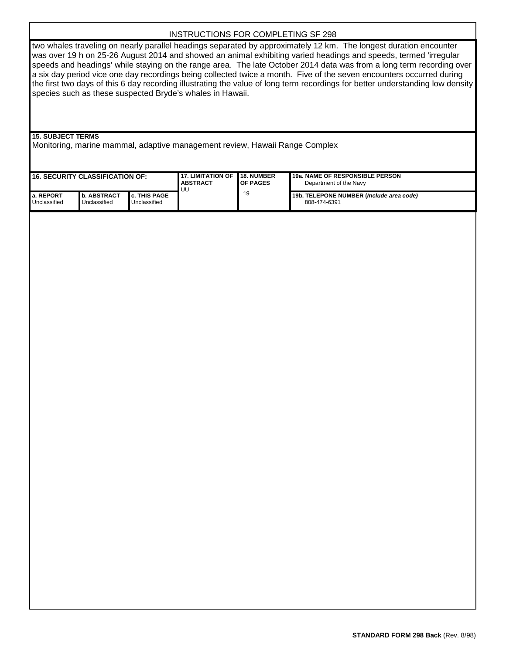### INSTRUCTIONS FOR COMPLETING SF 298

two whales traveling on nearly parallel headings separated by approximately 12 km. The longest duration encounter was over 19 h on 25-26 August 2014 and showed an animal exhibiting varied headings and speeds, termed 'irregular speeds and headings' while staying on the range area. The late October 2014 data was from a long term recording over a six day period vice one day recordings being collected twice a month. Five of the seven encounters occurred during the first two days of this 6 day recording illustrating the value of long term recordings for better understanding low density species such as these suspected Bryde's whales in Hawaii.

**15. SUBJECT TERMS**

Monitoring, marine mammal, adaptive management review, Hawaii Range Complex

| <b>16. SECURITY CLASSIFICATION OF:</b> |                             |                                     | 17. LIMITATION OF<br><b>ABSTRACT</b><br>UU | <b>18. NUMBER</b><br><b>IOF PAGES</b> | <b>19a. NAME OF RESPONSIBLE PERSON</b><br>Department of the Navy |  |  |
|----------------------------------------|-----------------------------|-------------------------------------|--------------------------------------------|---------------------------------------|------------------------------------------------------------------|--|--|
| l a. REPORT<br>Unclassified            | b. ABSTRACT<br>Unclassified | <b>C. THIS PAGE</b><br>Unclassified |                                            | 19                                    | 19b. TELEPONE NUMBER (Include area code)<br>808-474-6391         |  |  |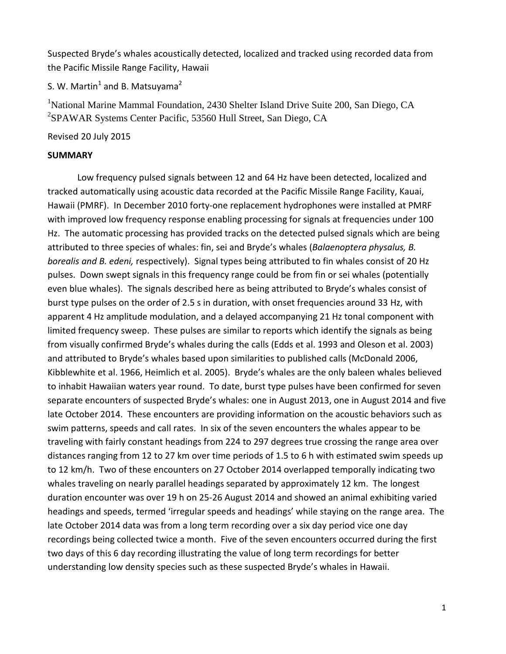Suspected Bryde's whales acoustically detected, localized and tracked using recorded data from the Pacific Missile Range Facility, Hawaii

S. W. Martin<sup>1</sup> and B. Matsuyama<sup>2</sup>

<sup>1</sup>National Marine Mammal Foundation, 2430 Shelter Island Drive Suite 200, San Diego, CA <sup>2</sup>SPAWAR Systems Center Pacific, 53560 Hull Street, San Diego, CA

Revised 20 July 2015

### **SUMMARY**

Low frequency pulsed signals between 12 and 64 Hz have been detected, localized and tracked automatically using acoustic data recorded at the Pacific Missile Range Facility, Kauai, Hawaii (PMRF). In December 2010 forty-one replacement hydrophones were installed at PMRF with improved low frequency response enabling processing for signals at frequencies under 100 Hz. The automatic processing has provided tracks on the detected pulsed signals which are being attributed to three species of whales: fin, sei and Bryde's whales (*Balaenoptera physalus, B. borealis and B. edeni,* respectively). Signal types being attributed to fin whales consist of 20 Hz pulses. Down swept signals in this frequency range could be from fin or sei whales (potentially even blue whales). The signals described here as being attributed to Bryde's whales consist of burst type pulses on the order of 2.5 s in duration, with onset frequencies around 33 Hz, with apparent 4 Hz amplitude modulation, and a delayed accompanying 21 Hz tonal component with limited frequency sweep. These pulses are similar to reports which identify the signals as being from visually confirmed Bryde's whales during the calls (Edds et al. 1993 and Oleson et al. 2003) and attributed to Bryde's whales based upon similarities to published calls (McDonald 2006, Kibblewhite et al. 1966, Heimlich et al. 2005). Bryde's whales are the only baleen whales believed to inhabit Hawaiian waters year round. To date, burst type pulses have been confirmed for seven separate encounters of suspected Bryde's whales: one in August 2013, one in August 2014 and five late October 2014. These encounters are providing information on the acoustic behaviors such as swim patterns, speeds and call rates. In six of the seven encounters the whales appear to be traveling with fairly constant headings from 224 to 297 degrees true crossing the range area over distances ranging from 12 to 27 km over time periods of 1.5 to 6 h with estimated swim speeds up to 12 km/h. Two of these encounters on 27 October 2014 overlapped temporally indicating two whales traveling on nearly parallel headings separated by approximately 12 km. The longest duration encounter was over 19 h on 25-26 August 2014 and showed an animal exhibiting varied headings and speeds, termed 'irregular speeds and headings' while staying on the range area. The late October 2014 data was from a long term recording over a six day period vice one day recordings being collected twice a month. Five of the seven encounters occurred during the first two days of this 6 day recording illustrating the value of long term recordings for better understanding low density species such as these suspected Bryde's whales in Hawaii.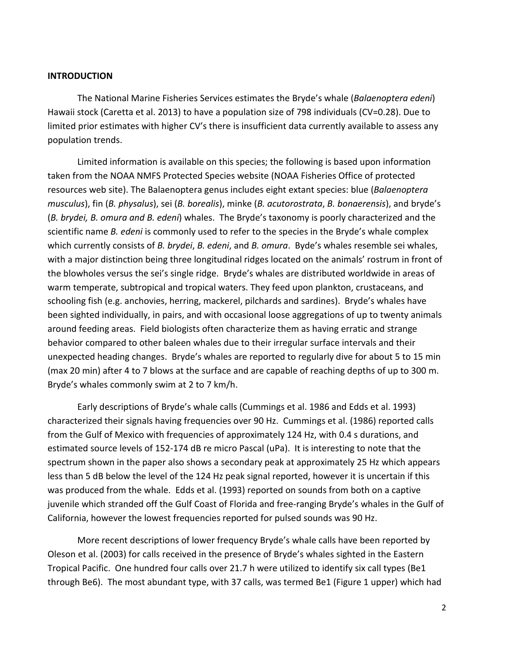#### **INTRODUCTION**

The National Marine Fisheries Services estimates the Bryde's whale (*Balaenoptera edeni*) Hawaii stock (Caretta et al. 2013) to have a population size of 798 individuals (CV=0.28). Due to limited prior estimates with higher CV's there is insufficient data currently available to assess any population trends.

Limited information is available on this species; the following is based upon information taken from the NOAA NMFS Protected Species website (NOAA Fisheries Office of protected resources web site). The Balaenoptera genus includes eight extant species: blue (*Balaenoptera musculus*), fin (*B. physalus*), sei (*B. borealis*), minke (*B. acutorostrata*, *B. bonaerensis*), and bryde's (*B. brydei, B. omura and B. edeni*) whales. The Bryde's taxonomy is poorly characterized and the scientific name *B. edeni* is commonly used to refer to the species in the Bryde's whale complex which currently consists of *B. brydei*, *B. edeni*, and *B. omura*. Byde's whales resemble sei whales, with a major distinction being three longitudinal ridges located on the animals' rostrum in front of the blowholes versus the sei's single ridge. Bryde's whales are distributed worldwide in areas of warm temperate, subtropical and tropical waters. They feed upon plankton, crustaceans, and schooling fish (e.g. anchovies, herring, mackerel, pilchards and sardines). Bryde's whales have been sighted individually, in pairs, and with occasional loose aggregations of up to twenty animals around feeding areas. Field biologists often characterize them as having erratic and strange behavior compared to other baleen whales due to their irregular surface intervals and their unexpected heading changes. Bryde's whales are reported to regularly dive for about 5 to 15 min (max 20 min) after 4 to 7 blows at the surface and are capable of reaching depths of up to 300 m. Bryde's whales commonly swim at 2 to 7 km/h.

Early descriptions of Bryde's whale calls (Cummings et al. 1986 and Edds et al. 1993) characterized their signals having frequencies over 90 Hz. Cummings et al. (1986) reported calls from the Gulf of Mexico with frequencies of approximately 124 Hz, with 0.4 s durations, and estimated source levels of 152-174 dB re micro Pascal (uPa). It is interesting to note that the spectrum shown in the paper also shows a secondary peak at approximately 25 Hz which appears less than 5 dB below the level of the 124 Hz peak signal reported, however it is uncertain if this was produced from the whale. Edds et al. (1993) reported on sounds from both on a captive juvenile which stranded off the Gulf Coast of Florida and free-ranging Bryde's whales in the Gulf of California, however the lowest frequencies reported for pulsed sounds was 90 Hz.

More recent descriptions of lower frequency Bryde's whale calls have been reported by Oleson et al. (2003) for calls received in the presence of Bryde's whales sighted in the Eastern Tropical Pacific. One hundred four calls over 21.7 h were utilized to identify six call types (Be1 through Be6). The most abundant type, with 37 calls, was termed Be1 (Figure 1 upper) which had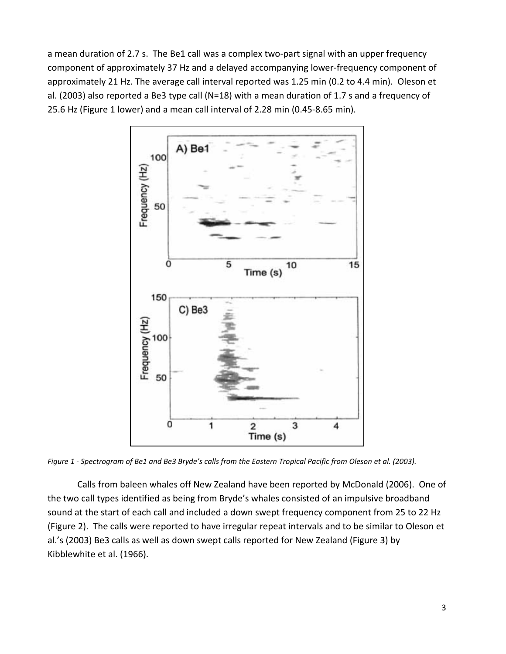a mean duration of 2.7 s. The Be1 call was a complex two-part signal with an upper frequency component of approximately 37 Hz and a delayed accompanying lower-frequency component of approximately 21 Hz. The average call interval reported was 1.25 min (0.2 to 4.4 min). Oleson et al. (2003) also reported a Be3 type call (N=18) with a mean duration of 1.7 s and a frequency of 25.6 Hz (Figure 1 lower) and a mean call interval of 2.28 min (0.45-8.65 min).



*Figure 1 - Spectrogram of Be1 and Be3 Bryde's calls from the Eastern Tropical Pacific from Oleson et al. (2003).*

Calls from baleen whales off New Zealand have been reported by McDonald (2006). One of the two call types identified as being from Bryde's whales consisted of an impulsive broadband sound at the start of each call and included a down swept frequency component from 25 to 22 Hz (Figure 2). The calls were reported to have irregular repeat intervals and to be similar to Oleson et al.'s (2003) Be3 calls as well as down swept calls reported for New Zealand (Figure 3) by Kibblewhite et al. (1966).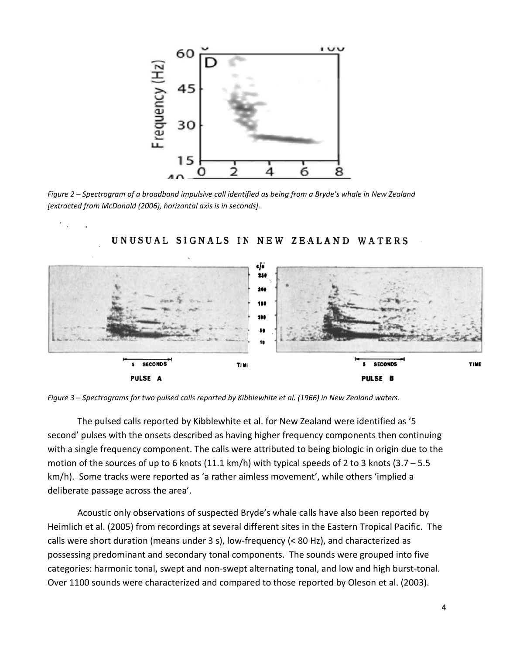

*Figure 2 – Spectrogram of a broadband impulsive call identified as being from a Bryde's whale in New Zealand [extracted from McDonald (2006), horizontal axis is in seconds].*



# UNUSUAL SIGNALS IN NEW ZEALAND WATERS

*Figure 3 – Spectrograms for two pulsed calls reported by Kibblewhite et al. (1966) in New Zealand waters.* 

The pulsed calls reported by Kibblewhite et al. for New Zealand were identified as '5 second' pulses with the onsets described as having higher frequency components then continuing with a single frequency component. The calls were attributed to being biologic in origin due to the motion of the sources of up to 6 knots (11.1 km/h) with typical speeds of 2 to 3 knots (3.7 – 5.5 km/h). Some tracks were reported as 'a rather aimless movement', while others 'implied a deliberate passage across the area'.

Acoustic only observations of suspected Bryde's whale calls have also been reported by Heimlich et al. (2005) from recordings at several different sites in the Eastern Tropical Pacific. The calls were short duration (means under 3 s), low-frequency (< 80 Hz), and characterized as possessing predominant and secondary tonal components. The sounds were grouped into five categories: harmonic tonal, swept and non-swept alternating tonal, and low and high burst-tonal. Over 1100 sounds were characterized and compared to those reported by Oleson et al. (2003).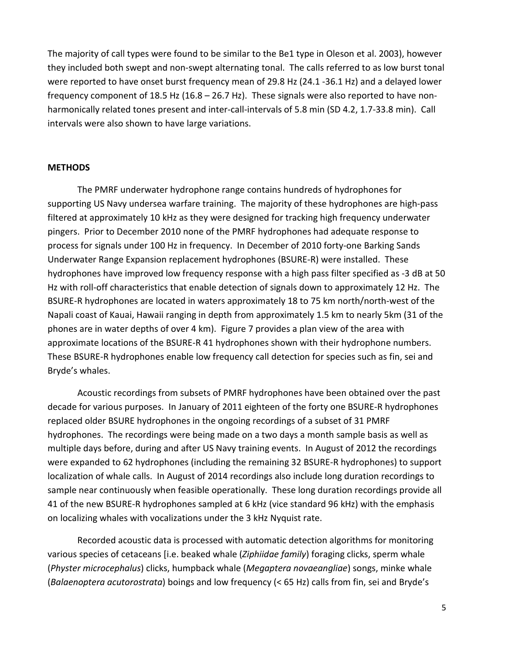The majority of call types were found to be similar to the Be1 type in Oleson et al. 2003), however they included both swept and non-swept alternating tonal. The calls referred to as low burst tonal were reported to have onset burst frequency mean of 29.8 Hz (24.1 -36.1 Hz) and a delayed lower frequency component of 18.5 Hz (16.8 – 26.7 Hz). These signals were also reported to have nonharmonically related tones present and inter-call-intervals of 5.8 min (SD 4.2, 1.7-33.8 min). Call intervals were also shown to have large variations.

### **METHODS**

The PMRF underwater hydrophone range contains hundreds of hydrophones for supporting US Navy undersea warfare training. The majority of these hydrophones are high-pass filtered at approximately 10 kHz as they were designed for tracking high frequency underwater pingers. Prior to December 2010 none of the PMRF hydrophones had adequate response to process for signals under 100 Hz in frequency. In December of 2010 forty-one Barking Sands Underwater Range Expansion replacement hydrophones (BSURE-R) were installed. These hydrophones have improved low frequency response with a high pass filter specified as -3 dB at 50 Hz with roll-off characteristics that enable detection of signals down to approximately 12 Hz. The BSURE-R hydrophones are located in waters approximately 18 to 75 km north/north-west of the Napali coast of Kauai, Hawaii ranging in depth from approximately 1.5 km to nearly 5km (31 of the phones are in water depths of over 4 km). Figure 7 provides a plan view of the area with approximate locations of the BSURE-R 41 hydrophones shown with their hydrophone numbers. These BSURE-R hydrophones enable low frequency call detection for species such as fin, sei and Bryde's whales.

Acoustic recordings from subsets of PMRF hydrophones have been obtained over the past decade for various purposes. In January of 2011 eighteen of the forty one BSURE-R hydrophones replaced older BSURE hydrophones in the ongoing recordings of a subset of 31 PMRF hydrophones. The recordings were being made on a two days a month sample basis as well as multiple days before, during and after US Navy training events. In August of 2012 the recordings were expanded to 62 hydrophones (including the remaining 32 BSURE-R hydrophones) to support localization of whale calls. In August of 2014 recordings also include long duration recordings to sample near continuously when feasible operationally. These long duration recordings provide all 41 of the new BSURE-R hydrophones sampled at 6 kHz (vice standard 96 kHz) with the emphasis on localizing whales with vocalizations under the 3 kHz Nyquist rate.

Recorded acoustic data is processed with automatic detection algorithms for monitoring various species of cetaceans [i.e. beaked whale (*Ziphiidae family*) foraging clicks, sperm whale (*Physter microcephalus*) clicks, humpback whale (*Megaptera novaeangliae*) songs, minke whale (*Balaenoptera acutorostrata*) boings and low frequency (< 65 Hz) calls from fin, sei and Bryde's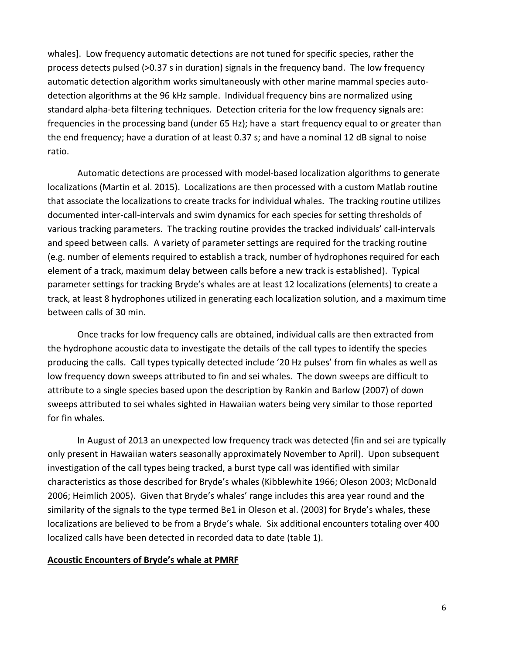whales]. Low frequency automatic detections are not tuned for specific species, rather the process detects pulsed (>0.37 s in duration) signals in the frequency band. The low frequency automatic detection algorithm works simultaneously with other marine mammal species autodetection algorithms at the 96 kHz sample. Individual frequency bins are normalized using standard alpha-beta filtering techniques. Detection criteria for the low frequency signals are: frequencies in the processing band (under 65 Hz); have a start frequency equal to or greater than the end frequency; have a duration of at least 0.37 s; and have a nominal 12 dB signal to noise ratio.

Automatic detections are processed with model-based localization algorithms to generate localizations (Martin et al. 2015). Localizations are then processed with a custom Matlab routine that associate the localizations to create tracks for individual whales. The tracking routine utilizes documented inter-call-intervals and swim dynamics for each species for setting thresholds of various tracking parameters. The tracking routine provides the tracked individuals' call-intervals and speed between calls. A variety of parameter settings are required for the tracking routine (e.g. number of elements required to establish a track, number of hydrophones required for each element of a track, maximum delay between calls before a new track is established). Typical parameter settings for tracking Bryde's whales are at least 12 localizations (elements) to create a track, at least 8 hydrophones utilized in generating each localization solution, and a maximum time between calls of 30 min.

Once tracks for low frequency calls are obtained, individual calls are then extracted from the hydrophone acoustic data to investigate the details of the call types to identify the species producing the calls. Call types typically detected include '20 Hz pulses' from fin whales as well as low frequency down sweeps attributed to fin and sei whales. The down sweeps are difficult to attribute to a single species based upon the description by Rankin and Barlow (2007) of down sweeps attributed to sei whales sighted in Hawaiian waters being very similar to those reported for fin whales.

In August of 2013 an unexpected low frequency track was detected (fin and sei are typically only present in Hawaiian waters seasonally approximately November to April). Upon subsequent investigation of the call types being tracked, a burst type call was identified with similar characteristics as those described for Bryde's whales (Kibblewhite 1966; Oleson 2003; McDonald 2006; Heimlich 2005). Given that Bryde's whales' range includes this area year round and the similarity of the signals to the type termed Be1 in Oleson et al. (2003) for Bryde's whales, these localizations are believed to be from a Bryde's whale. Six additional encounters totaling over 400 localized calls have been detected in recorded data to date (table 1).

## **Acoustic Encounters of Bryde's whale at PMRF**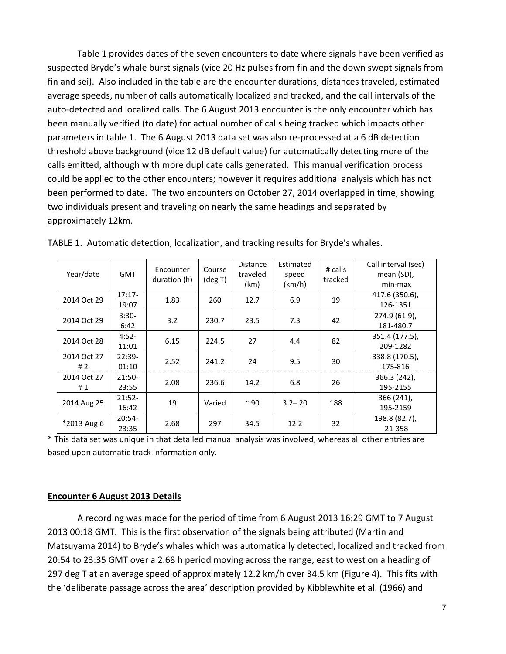Table 1 provides dates of the seven encounters to date where signals have been verified as suspected Bryde's whale burst signals (vice 20 Hz pulses from fin and the down swept signals from fin and sei). Also included in the table are the encounter durations, distances traveled, estimated average speeds, number of calls automatically localized and tracked, and the call intervals of the auto-detected and localized calls. The 6 August 2013 encounter is the only encounter which has been manually verified (to date) for actual number of calls being tracked which impacts other parameters in table 1. The 6 August 2013 data set was also re-processed at a 6 dB detection threshold above background (vice 12 dB default value) for automatically detecting more of the calls emitted, although with more duplicate calls generated. This manual verification process could be applied to the other encounters; however it requires additional analysis which has not been performed to date. The two encounters on October 27, 2014 overlapped in time, showing two individuals present and traveling on nearly the same headings and separated by approximately 12km.

| Year/date            | <b>GMT</b>        | Encounter<br>duration (h) | Course<br>$(\text{deg } T)$ | <b>Distance</b><br>traveled<br>(km) | Estimated<br>speed<br>(km/h) | # calls<br>tracked | Call interval (sec)<br>mean (SD),<br>min-max |
|----------------------|-------------------|---------------------------|-----------------------------|-------------------------------------|------------------------------|--------------------|----------------------------------------------|
| 2014 Oct 29          | $17:17-$<br>19:07 | 1.83                      | 260                         | 12.7                                | 6.9                          | 19                 | 417.6 (350.6),<br>126-1351                   |
| 2014 Oct 29          | $3:30-$<br>6:42   | 3.2                       | 230.7                       | 23.5                                | 7.3                          | 42                 | 274.9 (61.9),<br>181-480.7                   |
| 2014 Oct 28          | $4:52-$<br>11:01  | 6.15                      | 224.5                       | 27                                  | 4.4                          | 82                 | 351.4 (177.5),<br>209-1282                   |
| 2014 Oct 27<br># $2$ | $22:39-$<br>01:10 | 2.52                      | 241.2                       | 24                                  | 9.5                          | 30                 | 338.8 (170.5),<br>175-816                    |
| 2014 Oct 27<br>#1    | $21:50-$<br>23:55 | 2.08                      | 236.6                       | 14.2                                | 6.8                          | 26                 | $366.3(242)$ ,<br>195-2155                   |
| 2014 Aug 25          | $21:52-$<br>16:42 | 19                        | Varied                      | $~\sim$ 90                          | $3.2 - 20$                   | 188                | 366 (241),<br>195-2159                       |
| *2013 Aug 6          | $20:54-$<br>23:35 | 2.68                      | 297                         | 34.5                                | 12.2                         | 32                 | 198.8 (82.7),<br>21-358                      |

TABLE 1. Automatic detection, localization, and tracking results for Bryde's whales.

\* This data set was unique in that detailed manual analysis was involved, whereas all other entries are based upon automatic track information only.

## **Encounter 6 August 2013 Details**

A recording was made for the period of time from 6 August 2013 16:29 GMT to 7 August 2013 00:18 GMT. This is the first observation of the signals being attributed (Martin and Matsuyama 2014) to Bryde's whales which was automatically detected, localized and tracked from 20:54 to 23:35 GMT over a 2.68 h period moving across the range, east to west on a heading of 297 deg T at an average speed of approximately 12.2 km/h over 34.5 km (Figure 4). This fits with the 'deliberate passage across the area' description provided by Kibblewhite et al. (1966) and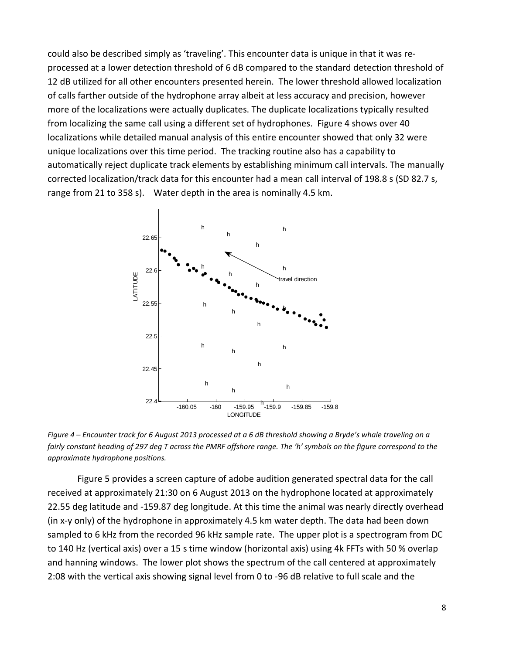could also be described simply as 'traveling'. This encounter data is unique in that it was reprocessed at a lower detection threshold of 6 dB compared to the standard detection threshold of 12 dB utilized for all other encounters presented herein. The lower threshold allowed localization of calls farther outside of the hydrophone array albeit at less accuracy and precision, however more of the localizations were actually duplicates. The duplicate localizations typically resulted from localizing the same call using a different set of hydrophones. Figure 4 shows over 40 localizations while detailed manual analysis of this entire encounter showed that only 32 were unique localizations over this time period. The tracking routine also has a capability to automatically reject duplicate track elements by establishing minimum call intervals. The manually corrected localization/track data for this encounter had a mean call interval of 198.8 s (SD 82.7 s, range from 21 to 358 s). Water depth in the area is nominally 4.5 km.



*Figure 4 – Encounter track for 6 August 2013 processed at a 6 dB threshold showing a Bryde's whale traveling on a fairly constant heading of 297 deg T across the PMRF offshore range. The 'h' symbols on the figure correspond to the approximate hydrophone positions.*

Figure 5 provides a screen capture of adobe audition generated spectral data for the call received at approximately 21:30 on 6 August 2013 on the hydrophone located at approximately 22.55 deg latitude and -159.87 deg longitude. At this time the animal was nearly directly overhead (in x-y only) of the hydrophone in approximately 4.5 km water depth. The data had been down sampled to 6 kHz from the recorded 96 kHz sample rate. The upper plot is a spectrogram from DC to 140 Hz (vertical axis) over a 15 s time window (horizontal axis) using 4k FFTs with 50 % overlap and hanning windows. The lower plot shows the spectrum of the call centered at approximately 2:08 with the vertical axis showing signal level from 0 to -96 dB relative to full scale and the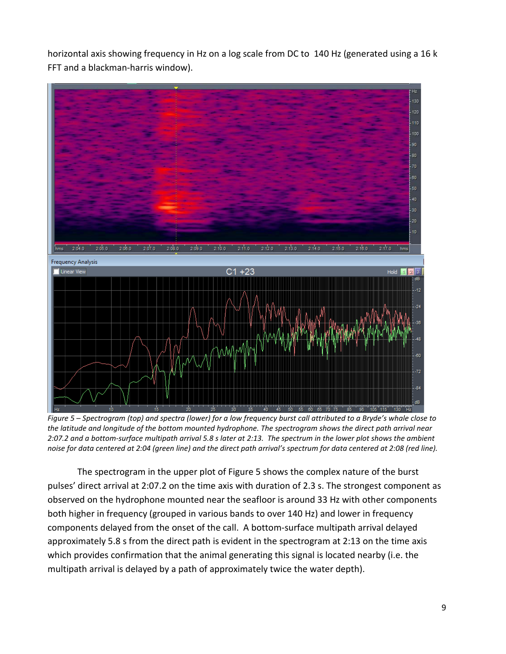horizontal axis showing frequency in Hz on a log scale from DC to 140 Hz (generated using a 16 k FFT and a blackman-harris window).



*Figure 5 – Spectrogram (top) and spectra (lower) for a low frequency burst call attributed to a Bryde's whale close to the latitude and longitude of the bottom mounted hydrophone. The spectrogram shows the direct path arrival near 2:07.2 and a bottom-surface multipath arrival 5.8 s later at 2:13. The spectrum in the lower plot shows the ambient noise for data centered at 2:04 (green line) and the direct path arrival's spectrum for data centered at 2:08 (red line).*

The spectrogram in the upper plot of Figure 5 shows the complex nature of the burst pulses' direct arrival at 2:07.2 on the time axis with duration of 2.3 s. The strongest component as observed on the hydrophone mounted near the seafloor is around 33 Hz with other components both higher in frequency (grouped in various bands to over 140 Hz) and lower in frequency components delayed from the onset of the call. A bottom-surface multipath arrival delayed approximately 5.8 s from the direct path is evident in the spectrogram at 2:13 on the time axis which provides confirmation that the animal generating this signal is located nearby (i.e. the multipath arrival is delayed by a path of approximately twice the water depth).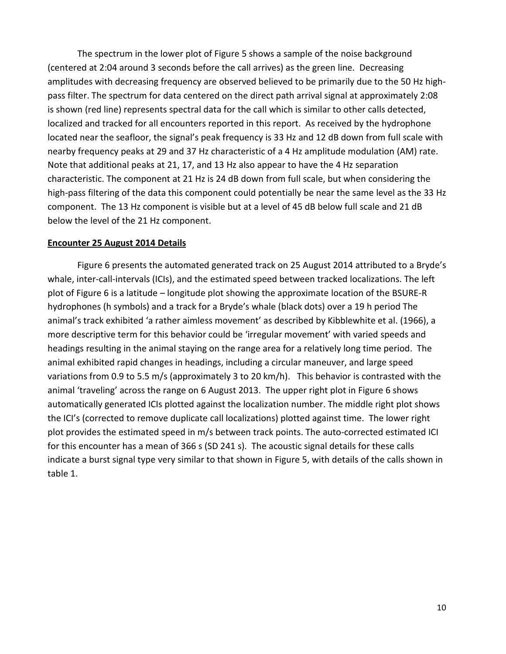The spectrum in the lower plot of Figure 5 shows a sample of the noise background (centered at 2:04 around 3 seconds before the call arrives) as the green line. Decreasing amplitudes with decreasing frequency are observed believed to be primarily due to the 50 Hz highpass filter. The spectrum for data centered on the direct path arrival signal at approximately 2:08 is shown (red line) represents spectral data for the call which is similar to other calls detected, localized and tracked for all encounters reported in this report. As received by the hydrophone located near the seafloor, the signal's peak frequency is 33 Hz and 12 dB down from full scale with nearby frequency peaks at 29 and 37 Hz characteristic of a 4 Hz amplitude modulation (AM) rate. Note that additional peaks at 21, 17, and 13 Hz also appear to have the 4 Hz separation characteristic. The component at 21 Hz is 24 dB down from full scale, but when considering the high-pass filtering of the data this component could potentially be near the same level as the 33 Hz component. The 13 Hz component is visible but at a level of 45 dB below full scale and 21 dB below the level of the 21 Hz component.

# **Encounter 25 August 2014 Details**

Figure 6 presents the automated generated track on 25 August 2014 attributed to a Bryde's whale, inter-call-intervals (ICIs), and the estimated speed between tracked localizations. The left plot of Figure 6 is a latitude – longitude plot showing the approximate location of the BSURE-R hydrophones (h symbols) and a track for a Bryde's whale (black dots) over a 19 h period The animal's track exhibited 'a rather aimless movement' as described by Kibblewhite et al. (1966), a more descriptive term for this behavior could be 'irregular movement' with varied speeds and headings resulting in the animal staying on the range area for a relatively long time period. The animal exhibited rapid changes in headings, including a circular maneuver, and large speed variations from 0.9 to 5.5 m/s (approximately 3 to 20 km/h). This behavior is contrasted with the animal 'traveling' across the range on 6 August 2013. The upper right plot in Figure 6 shows automatically generated ICIs plotted against the localization number. The middle right plot shows the ICI's (corrected to remove duplicate call localizations) plotted against time. The lower right plot provides the estimated speed in m/s between track points. The auto-corrected estimated ICI for this encounter has a mean of 366 s (SD 241 s). The acoustic signal details for these calls indicate a burst signal type very similar to that shown in Figure 5, with details of the calls shown in table 1.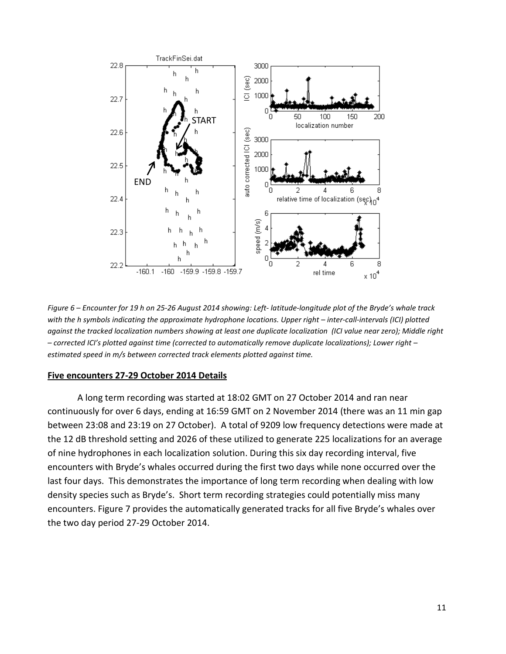

*Figure 6 – Encounter for 19 h on 25-26 August 2014 showing: Left- latitude-longitude plot of the Bryde's whale track with the h symbols indicating the approximate hydrophone locations. Upper right – inter-call-intervals (ICI) plotted against the tracked localization numbers showing at least one duplicate localization (ICI value near zero); Middle right – corrected ICI's plotted against time (corrected to automatically remove duplicate localizations); Lower right – estimated speed in m/s between corrected track elements plotted against time.*

### **Five encounters 27-29 October 2014 Details**

A long term recording was started at 18:02 GMT on 27 October 2014 and ran near continuously for over 6 days, ending at 16:59 GMT on 2 November 2014 (there was an 11 min gap between 23:08 and 23:19 on 27 October). A total of 9209 low frequency detections were made at the 12 dB threshold setting and 2026 of these utilized to generate 225 localizations for an average of nine hydrophones in each localization solution. During this six day recording interval, five encounters with Bryde's whales occurred during the first two days while none occurred over the last four days. This demonstrates the importance of long term recording when dealing with low density species such as Bryde's. Short term recording strategies could potentially miss many encounters. Figure 7 provides the automatically generated tracks for all five Bryde's whales over the two day period 27-29 October 2014.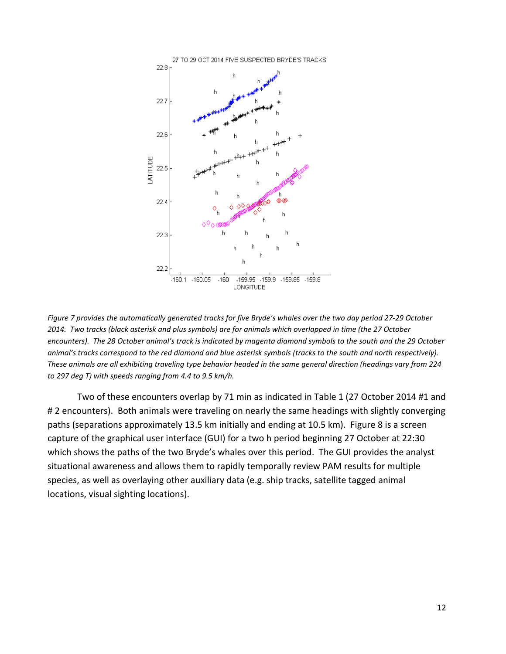

*Figure 7 provides the automatically generated tracks for five Bryde's whales over the two day period 27-29 October 2014. Two tracks (black asterisk and plus symbols) are for animals which overlapped in time (the 27 October encounters). The 28 October animal's track is indicated by magenta diamond symbols to the south and the 29 October animal's tracks correspond to the red diamond and blue asterisk symbols (tracks to the south and north respectively). These animals are all exhibiting traveling type behavior headed in the same general direction (headings vary from 224 to 297 deg T) with speeds ranging from 4.4 to 9.5 km/h.* 

Two of these encounters overlap by 71 min as indicated in Table 1 (27 October 2014 #1 and # 2 encounters). Both animals were traveling on nearly the same headings with slightly converging paths (separations approximately 13.5 km initially and ending at 10.5 km). Figure 8 is a screen capture of the graphical user interface (GUI) for a two h period beginning 27 October at 22:30 which shows the paths of the two Bryde's whales over this period. The GUI provides the analyst situational awareness and allows them to rapidly temporally review PAM results for multiple species, as well as overlaying other auxiliary data (e.g. ship tracks, satellite tagged animal locations, visual sighting locations).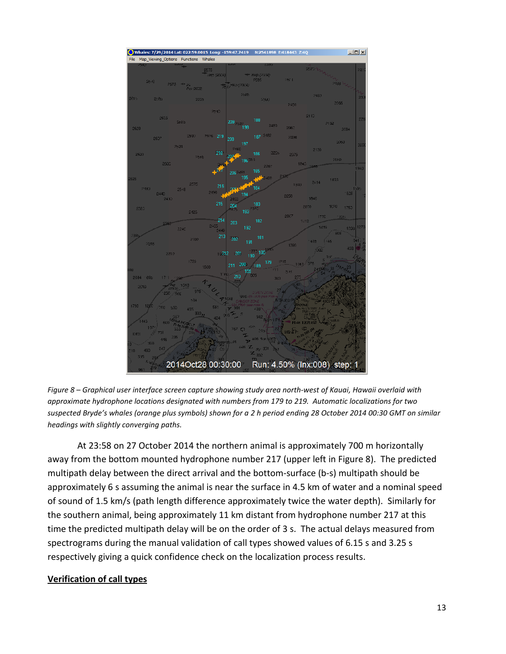

*Figure 8 – Graphical user interface screen capture showing study area north-west of Kauai, Hawaii overlaid with approximate hydrophone locations designated with numbers from 179 to 219. Automatic localizations for two suspected Bryde's whales (orange plus symbols) shown for a 2 h period ending 28 October 2014 00:30 GMT on similar headings with slightly converging paths.* 

At 23:58 on 27 October 2014 the northern animal is approximately 700 m horizontally away from the bottom mounted hydrophone number 217 (upper left in Figure 8). The predicted multipath delay between the direct arrival and the bottom-surface (b-s) multipath should be approximately 6 s assuming the animal is near the surface in 4.5 km of water and a nominal speed of sound of 1.5 km/s (path length difference approximately twice the water depth). Similarly for the southern animal, being approximately 11 km distant from hydrophone number 217 at this time the predicted multipath delay will be on the order of 3 s. The actual delays measured from spectrograms during the manual validation of call types showed values of 6.15 s and 3.25 s respectively giving a quick confidence check on the localization process results.

# **Verification of call types**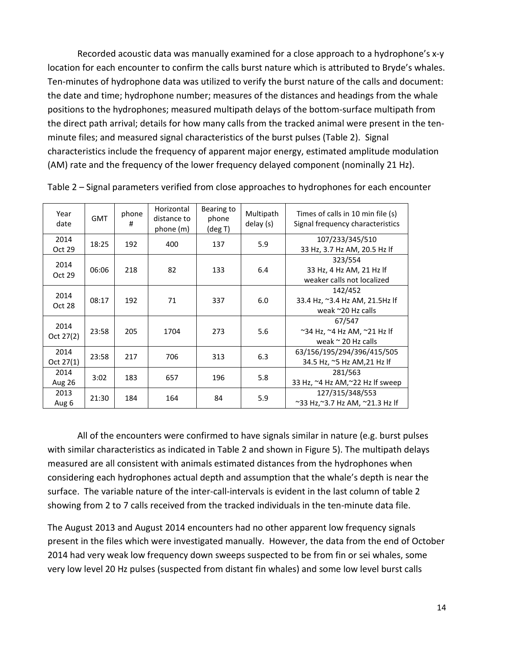Recorded acoustic data was manually examined for a close approach to a hydrophone's x-y location for each encounter to confirm the calls burst nature which is attributed to Bryde's whales. Ten-minutes of hydrophone data was utilized to verify the burst nature of the calls and document: the date and time; hydrophone number; measures of the distances and headings from the whale positions to the hydrophones; measured multipath delays of the bottom-surface multipath from the direct path arrival; details for how many calls from the tracked animal were present in the tenminute files; and measured signal characteristics of the burst pulses (Table 2). Signal characteristics include the frequency of apparent major energy, estimated amplitude modulation (AM) rate and the frequency of the lower frequency delayed component (nominally 21 Hz).

| Year<br>date          | <b>GMT</b> | phone<br># | Horizontal<br>distance to<br>phone (m) | Bearing to<br>phone<br>(deg T) | Multipath<br>delay (s) | Times of calls in 10 min file (s)<br>Signal frequency characteristics                 |
|-----------------------|------------|------------|----------------------------------------|--------------------------------|------------------------|---------------------------------------------------------------------------------------|
| 2014<br>Oct 29        | 18:25      | 192        | 400                                    | 137                            | 5.9                    | 107/233/345/510<br>33 Hz, 3.7 Hz AM, 20.5 Hz If                                       |
| 2014<br>Oct 29        | 06:06      | 218        | 82                                     | 133                            | 6.4                    | 323/554<br>33 Hz, 4 Hz AM, 21 Hz If<br>weaker calls not localized                     |
| 2014<br>Oct 28        | 08:17      | 192        | 71                                     | 337                            | 6.0                    | 142/452<br>33.4 Hz, ~3.4 Hz AM, 21.5Hz If<br>weak ~20 Hz calls                        |
| 2014<br>Oct 27(2)     | 23:58      | 205        | 1704                                   | 273                            | 5.6                    | 67/547<br>$\sim$ 34 Hz, $\sim$ 4 Hz AM, $\sim$ 21 Hz If<br>weak $\approx$ 20 Hz calls |
| 2014<br>Oct $27(1)$   | 23:58      | 217        | 706                                    | 313                            | 6.3                    | 63/156/195/294/396/415/505<br>34.5 Hz, ~5 Hz AM, 21 Hz If                             |
| 2014<br><b>Aug 26</b> | 3:02       | 183        | 657                                    | 196                            | 5.8                    | 281/563<br>33 Hz, ~4 Hz AM,~22 Hz If sweep                                            |
| 2013<br>Aug 6         | 21:30      | 184        | 164                                    | 84                             | 5.9                    | 127/315/348/553<br>~33 Hz,~3.7 Hz AM, ~21.3 Hz If                                     |

Table 2 – Signal parameters verified from close approaches to hydrophones for each encounter

All of the encounters were confirmed to have signals similar in nature (e.g. burst pulses with similar characteristics as indicated in Table 2 and shown in Figure 5). The multipath delays measured are all consistent with animals estimated distances from the hydrophones when considering each hydrophones actual depth and assumption that the whale's depth is near the surface. The variable nature of the inter-call-intervals is evident in the last column of table 2 showing from 2 to 7 calls received from the tracked individuals in the ten-minute data file.

The August 2013 and August 2014 encounters had no other apparent low frequency signals present in the files which were investigated manually. However, the data from the end of October 2014 had very weak low frequency down sweeps suspected to be from fin or sei whales, some very low level 20 Hz pulses (suspected from distant fin whales) and some low level burst calls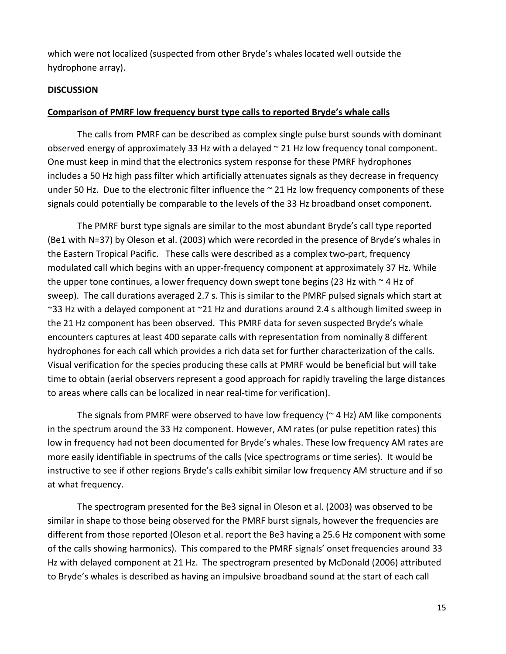which were not localized (suspected from other Bryde's whales located well outside the hydrophone array).

## **DISCUSSION**

## **Comparison of PMRF low frequency burst type calls to reported Bryde's whale calls**

The calls from PMRF can be described as complex single pulse burst sounds with dominant observed energy of approximately 33 Hz with a delayed ~ 21 Hz low frequency tonal component. One must keep in mind that the electronics system response for these PMRF hydrophones includes a 50 Hz high pass filter which artificially attenuates signals as they decrease in frequency under 50 Hz. Due to the electronic filter influence the  $\sim$  21 Hz low frequency components of these signals could potentially be comparable to the levels of the 33 Hz broadband onset component.

The PMRF burst type signals are similar to the most abundant Bryde's call type reported (Be1 with N=37) by Oleson et al. (2003) which were recorded in the presence of Bryde's whales in the Eastern Tropical Pacific. These calls were described as a complex two-part, frequency modulated call which begins with an upper-frequency component at approximately 37 Hz. While the upper tone continues, a lower frequency down swept tone begins (23 Hz with  $\sim$  4 Hz of sweep). The call durations averaged 2.7 s. This is similar to the PMRF pulsed signals which start at  $\sim$ 33 Hz with a delayed component at  $\sim$ 21 Hz and durations around 2.4 s although limited sweep in the 21 Hz component has been observed. This PMRF data for seven suspected Bryde's whale encounters captures at least 400 separate calls with representation from nominally 8 different hydrophones for each call which provides a rich data set for further characterization of the calls. Visual verification for the species producing these calls at PMRF would be beneficial but will take time to obtain (aerial observers represent a good approach for rapidly traveling the large distances to areas where calls can be localized in near real-time for verification).

The signals from PMRF were observed to have low frequency ( $\approx$  4 Hz) AM like components in the spectrum around the 33 Hz component. However, AM rates (or pulse repetition rates) this low in frequency had not been documented for Bryde's whales. These low frequency AM rates are more easily identifiable in spectrums of the calls (vice spectrograms or time series). It would be instructive to see if other regions Bryde's calls exhibit similar low frequency AM structure and if so at what frequency.

The spectrogram presented for the Be3 signal in Oleson et al. (2003) was observed to be similar in shape to those being observed for the PMRF burst signals, however the frequencies are different from those reported (Oleson et al. report the Be3 having a 25.6 Hz component with some of the calls showing harmonics). This compared to the PMRF signals' onset frequencies around 33 Hz with delayed component at 21 Hz. The spectrogram presented by McDonald (2006) attributed to Bryde's whales is described as having an impulsive broadband sound at the start of each call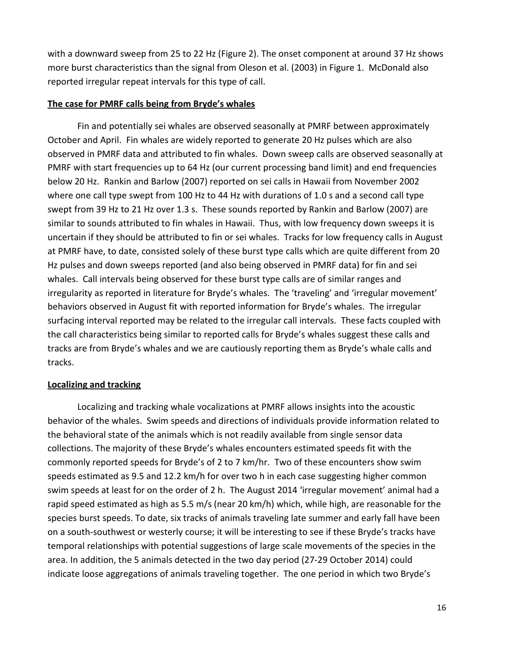with a downward sweep from 25 to 22 Hz (Figure 2). The onset component at around 37 Hz shows more burst characteristics than the signal from Oleson et al. (2003) in Figure 1. McDonald also reported irregular repeat intervals for this type of call.

## **The case for PMRF calls being from Bryde's whales**

Fin and potentially sei whales are observed seasonally at PMRF between approximately October and April. Fin whales are widely reported to generate 20 Hz pulses which are also observed in PMRF data and attributed to fin whales. Down sweep calls are observed seasonally at PMRF with start frequencies up to 64 Hz (our current processing band limit) and end frequencies below 20 Hz. Rankin and Barlow (2007) reported on sei calls in Hawaii from November 2002 where one call type swept from 100 Hz to 44 Hz with durations of 1.0 s and a second call type swept from 39 Hz to 21 Hz over 1.3 s. These sounds reported by Rankin and Barlow (2007) are similar to sounds attributed to fin whales in Hawaii. Thus, with low frequency down sweeps it is uncertain if they should be attributed to fin or sei whales. Tracks for low frequency calls in August at PMRF have, to date, consisted solely of these burst type calls which are quite different from 20 Hz pulses and down sweeps reported (and also being observed in PMRF data) for fin and sei whales. Call intervals being observed for these burst type calls are of similar ranges and irregularity as reported in literature for Bryde's whales. The 'traveling' and 'irregular movement' behaviors observed in August fit with reported information for Bryde's whales. The irregular surfacing interval reported may be related to the irregular call intervals. These facts coupled with the call characteristics being similar to reported calls for Bryde's whales suggest these calls and tracks are from Bryde's whales and we are cautiously reporting them as Bryde's whale calls and tracks.

## **Localizing and tracking**

Localizing and tracking whale vocalizations at PMRF allows insights into the acoustic behavior of the whales. Swim speeds and directions of individuals provide information related to the behavioral state of the animals which is not readily available from single sensor data collections. The majority of these Bryde's whales encounters estimated speeds fit with the commonly reported speeds for Bryde's of 2 to 7 km/hr. Two of these encounters show swim speeds estimated as 9.5 and 12.2 km/h for over two h in each case suggesting higher common swim speeds at least for on the order of 2 h. The August 2014 'irregular movement' animal had a rapid speed estimated as high as 5.5 m/s (near 20 km/h) which, while high, are reasonable for the species burst speeds. To date, six tracks of animals traveling late summer and early fall have been on a south-southwest or westerly course; it will be interesting to see if these Bryde's tracks have temporal relationships with potential suggestions of large scale movements of the species in the area. In addition, the 5 animals detected in the two day period (27-29 October 2014) could indicate loose aggregations of animals traveling together. The one period in which two Bryde's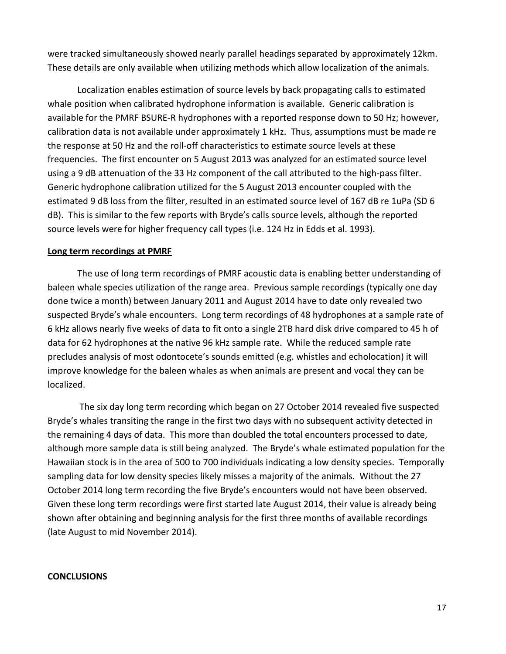were tracked simultaneously showed nearly parallel headings separated by approximately 12km. These details are only available when utilizing methods which allow localization of the animals.

Localization enables estimation of source levels by back propagating calls to estimated whale position when calibrated hydrophone information is available. Generic calibration is available for the PMRF BSURE-R hydrophones with a reported response down to 50 Hz; however, calibration data is not available under approximately 1 kHz. Thus, assumptions must be made re the response at 50 Hz and the roll-off characteristics to estimate source levels at these frequencies. The first encounter on 5 August 2013 was analyzed for an estimated source level using a 9 dB attenuation of the 33 Hz component of the call attributed to the high-pass filter. Generic hydrophone calibration utilized for the 5 August 2013 encounter coupled with the estimated 9 dB loss from the filter, resulted in an estimated source level of 167 dB re 1uPa (SD 6 dB). This is similar to the few reports with Bryde's calls source levels, although the reported source levels were for higher frequency call types (i.e. 124 Hz in Edds et al. 1993).

## **Long term recordings at PMRF**

The use of long term recordings of PMRF acoustic data is enabling better understanding of baleen whale species utilization of the range area. Previous sample recordings (typically one day done twice a month) between January 2011 and August 2014 have to date only revealed two suspected Bryde's whale encounters. Long term recordings of 48 hydrophones at a sample rate of 6 kHz allows nearly five weeks of data to fit onto a single 2TB hard disk drive compared to 45 h of data for 62 hydrophones at the native 96 kHz sample rate. While the reduced sample rate precludes analysis of most odontocete's sounds emitted (e.g. whistles and echolocation) it will improve knowledge for the baleen whales as when animals are present and vocal they can be localized.

The six day long term recording which began on 27 October 2014 revealed five suspected Bryde's whales transiting the range in the first two days with no subsequent activity detected in the remaining 4 days of data. This more than doubled the total encounters processed to date, although more sample data is still being analyzed. The Bryde's whale estimated population for the Hawaiian stock is in the area of 500 to 700 individuals indicating a low density species. Temporally sampling data for low density species likely misses a majority of the animals. Without the 27 October 2014 long term recording the five Bryde's encounters would not have been observed. Given these long term recordings were first started late August 2014, their value is already being shown after obtaining and beginning analysis for the first three months of available recordings (late August to mid November 2014).

### **CONCLUSIONS**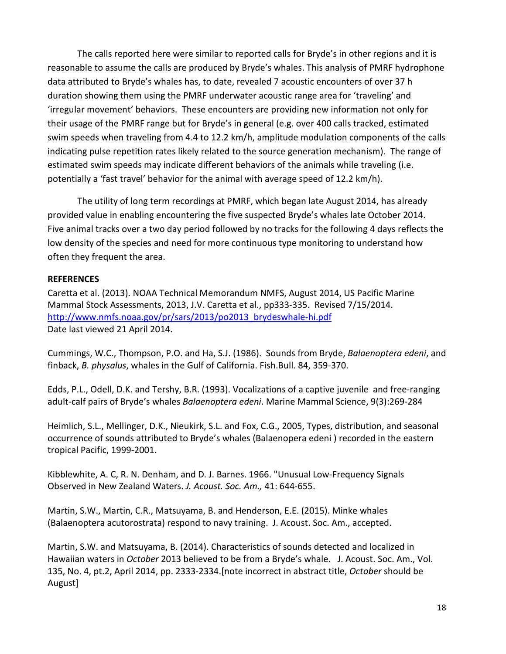The calls reported here were similar to reported calls for Bryde's in other regions and it is reasonable to assume the calls are produced by Bryde's whales. This analysis of PMRF hydrophone data attributed to Bryde's whales has, to date, revealed 7 acoustic encounters of over 37 h duration showing them using the PMRF underwater acoustic range area for 'traveling' and 'irregular movement' behaviors. These encounters are providing new information not only for their usage of the PMRF range but for Bryde's in general (e.g. over 400 calls tracked, estimated swim speeds when traveling from 4.4 to 12.2 km/h, amplitude modulation components of the calls indicating pulse repetition rates likely related to the source generation mechanism). The range of estimated swim speeds may indicate different behaviors of the animals while traveling (i.e. potentially a 'fast travel' behavior for the animal with average speed of 12.2 km/h).

The utility of long term recordings at PMRF, which began late August 2014, has already provided value in enabling encountering the five suspected Bryde's whales late October 2014. Five animal tracks over a two day period followed by no tracks for the following 4 days reflects the low density of the species and need for more continuous type monitoring to understand how often they frequent the area.

# **REFERENCES**

Caretta et al. (2013). NOAA Technical Memorandum NMFS, August 2014, US Pacific Marine Mammal Stock Assessments, 2013, J.V. Caretta et al., pp333-335. Revised 7/15/2014. [http://www.nmfs.noaa.gov/pr/sars/2013/po2013\\_brydeswhale-hi.pdf](http://www.nmfs.noaa.gov/pr/sars/2013/po2013_brydeswhale-hi.pdf) Date last viewed 21 April 2014.

Cummings, W.C., Thompson, P.O. and Ha, S.J. (1986). Sounds from Bryde, *Balaenoptera edeni*, and finback, *B. physalus*, whales in the Gulf of California. Fish.Bull. 84, 359-370.

Edds, P.L., Odell, D.K. and Tershy, B.R. (1993). Vocalizations of a captive juvenile and free-ranging adult-calf pairs of Bryde's whales *Balaenoptera edeni*. Marine Mammal Science, 9(3):269-284

Heimlich, S.L., Mellinger, D.K., Nieukirk, S.L. and Fox, C.G., 2005, Types, distribution, and seasonal occurrence of sounds attributed to Bryde's whales (Balaenopera edeni ) recorded in the eastern tropical Pacific, 1999-2001.

Kibblewhite, A. C, R. N. Denham, and D. J. Barnes. 1966. "Unusual Low-Frequency Signals Observed in New Zealand Waters. *J. Acoust. Soc. Am.,* 41: 644-655.

Martin, S.W., Martin, C.R., Matsuyama, B. and Henderson, E.E. (2015). Minke whales (Balaenoptera acutorostrata) respond to navy training. J. Acoust. Soc. Am., accepted.

Martin, S.W. and Matsuyama, B. (2014). Characteristics of sounds detected and localized in Hawaiian waters in *October* 2013 believed to be from a Bryde's whale. J. Acoust. Soc. Am., Vol. 135, No. 4, pt.2, April 2014, pp. 2333-2334.[note incorrect in abstract title, *October* should be August]